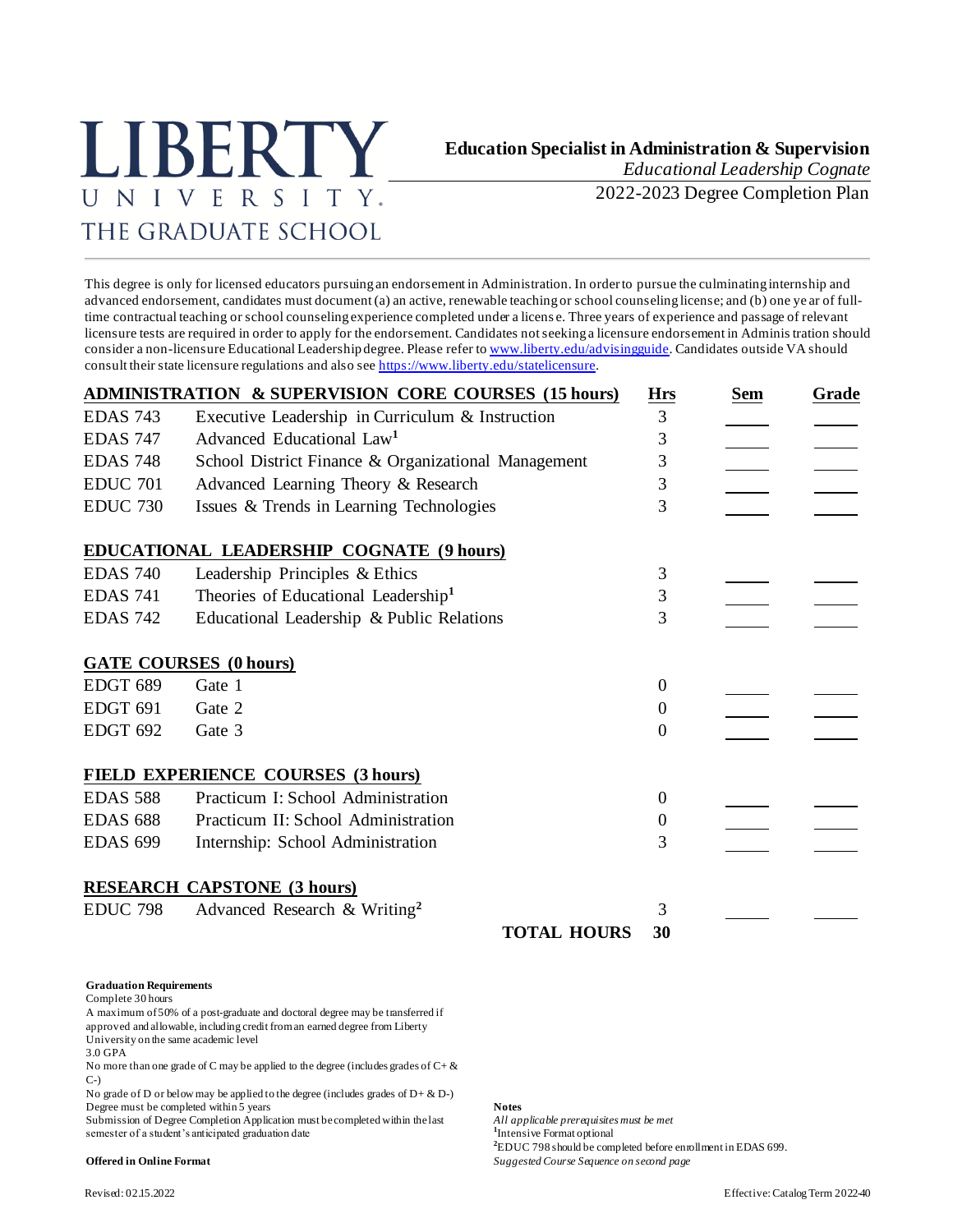# LIBERTY UNIVERSITY. THE GRADUATE SCHOOL

# **Education Specialist in Administration & Supervision**

*Educational Leadership Cognate*

2022-2023 Degree Completion Plan

This degree is only for licensed educators pursuing an endorsement in Administration. In order to pursue the culminating internship and advanced endorsement, candidates must document (a) an active, renewable teaching or school counseling license; and (b) one ye ar of fulltime contractual teaching or school counseling experience completed under a licens e. Three years of experience and passage of relevant licensure tests are required in order to apply for the endorsement. Candidates not seeking a licensure endorsement in Adminis tration should consider a non-licensure Educational Leadership degree. Please refer t[o www.liberty.edu/advisingguide](http://www.liberty.edu/advisingguide). Candidates outside VA should consult their state licensure regulations and also se[e https://www.liberty.edu/statelicensure](https://www.liberty.edu/statelicensure).

|                 | <b>ADMINISTRATION &amp; SUPERVISION CORE COURSES (15 hours)</b> | <b>Hrs</b>       | <b>Sem</b> | Grade |
|-----------------|-----------------------------------------------------------------|------------------|------------|-------|
| <b>EDAS 743</b> | Executive Leadership in Curriculum & Instruction                | 3                |            |       |
| <b>EDAS 747</b> | Advanced Educational Law <sup>1</sup>                           | 3                |            |       |
| <b>EDAS 748</b> | School District Finance & Organizational Management             | 3                |            |       |
| <b>EDUC 701</b> | Advanced Learning Theory & Research                             | 3                |            |       |
| <b>EDUC 730</b> | Issues & Trends in Learning Technologies                        | 3                |            |       |
|                 | <b>EDUCATIONAL LEADERSHIP COGNATE (9 hours)</b>                 |                  |            |       |
| <b>EDAS 740</b> | Leadership Principles & Ethics                                  | 3                |            |       |
| <b>EDAS 741</b> | Theories of Educational Leadership <sup>1</sup>                 | 3                |            |       |
| <b>EDAS 742</b> | Educational Leadership & Public Relations                       | 3                |            |       |
|                 | <b>GATE COURSES (0 hours)</b>                                   |                  |            |       |
| EDGT 689        | Gate 1                                                          | $\theta$         |            |       |
| <b>EDGT 691</b> | Gate 2                                                          | $\overline{0}$   |            |       |
| <b>EDGT 692</b> | Gate 3                                                          | $\overline{0}$   |            |       |
|                 | FIELD EXPERIENCE COURSES (3 hours)                              |                  |            |       |
| <b>EDAS 588</b> | Practicum I: School Administration                              | $\overline{0}$   |            |       |
| <b>EDAS 688</b> | Practicum II: School Administration                             | $\boldsymbol{0}$ |            |       |
| <b>EDAS 699</b> | Internship: School Administration                               | 3                |            |       |
|                 | <b>RESEARCH CAPSTONE (3 hours)</b>                              |                  |            |       |
| <b>EDUC 798</b> | Advanced Research & Writing <sup>2</sup>                        | 3                |            |       |
|                 | <b>TOTAL HOURS</b>                                              | 30               |            |       |

### **Graduation Requirements**

Complete 30 hours

A maximum of 50% of a post-graduate and doctoral degree may be transferred if approved and allowable, including credit from an earned degree from Liberty University on the same academic level

3.0 GPA

No more than one grade of C may be applied to the degree (includes grades of  $C + \&$ C-)

No grade of D or below may be applied to the degree (includes grades of  $D + \& D$ -) Degree must be completed within 5 years<br>Submission of Degree Completion Application must be completed within the last *All applicable prerequisites must be met* 

Submission of Degree Completion Application must be completed within the last semester of a student's anticipated graduation date

<sup>1</sup>Intensive Format optional **<sup>2</sup>**EDUC 798 should be completed before enrollment in EDAS 699. **Offered in Online Format** *Suggested Course Sequence on second page*